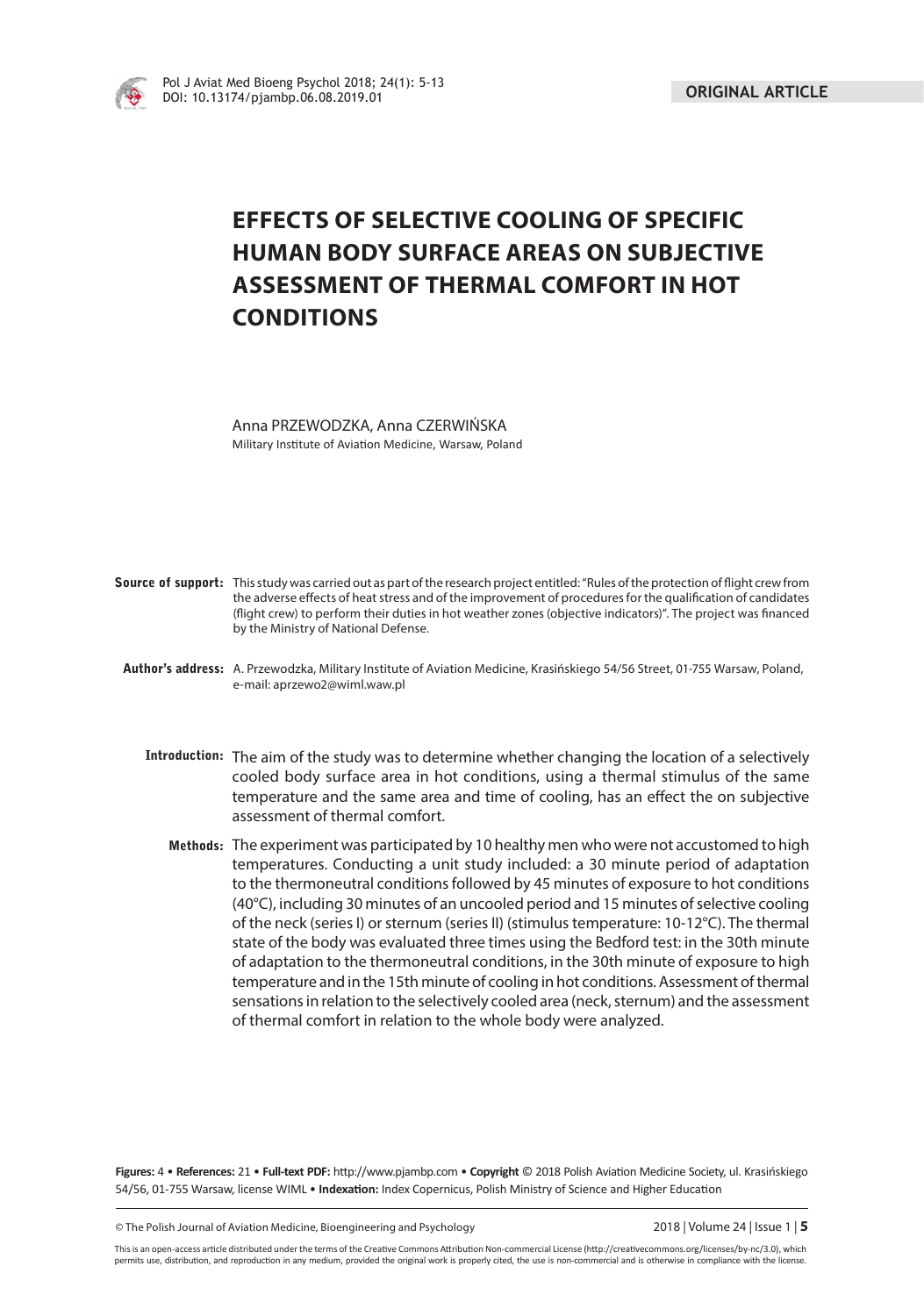

# **EFFECTS OF SELECTIVE COOLING OF SPECIFIC HUMAN BODY SURFACE AREAS ON SUBJECTIVE ASSESSMENT OF THERMAL COMFORT IN HOT CONDITIONS**

Anna PRZEWODZKA, Anna CZERWIŃSKA Military Institute of Aviation Medicine, Warsaw, Poland

| <b>Source of support:</b> This study was carried out as part of the research project entitled: "Rules of the protection of flight crew from<br>the adverse effects of heat stress and of the improvement of procedures for the qualification of candidates<br>(flight crew) to perform their duties in hot weather zones (objective indicators)". The project was financed<br>by the Ministry of National Defense.                                                                                                                                       |
|----------------------------------------------------------------------------------------------------------------------------------------------------------------------------------------------------------------------------------------------------------------------------------------------------------------------------------------------------------------------------------------------------------------------------------------------------------------------------------------------------------------------------------------------------------|
| Author's address: A. Przewodzka, Military Institute of Aviation Medicine, Krasińskiego 54/56 Street, 01-755 Warsaw, Poland,<br>e-mail: aprzewo2@wiml.waw.pl                                                                                                                                                                                                                                                                                                                                                                                              |
| Introduction: The aim of the study was to determine whether changing the location of a selectively<br>cooled body surface area in hot conditions, using a thermal stimulus of the same<br>temperature and the same area and time of cooling, has an effect the on subjective<br>assessment of thermal comfort.                                                                                                                                                                                                                                           |
| Methods: The experiment was participated by 10 healthy men who were not accustomed to high<br>temperatures. Conducting a unit study included: a 30 minute period of adaptation<br>to the thermoneutral conditions followed by 45 minutes of exposure to hot conditions<br>(40°C), including 30 minutes of an uncooled period and 15 minutes of selective cooling<br>of the neck (series I) or sternum (series II) (stimulus temperature: 10-12°C). The thermal<br>state of the body was evaluated three times using the Bedford test: in the 30th minute |

of adaptation to the thermoneutral conditions, in the 30th minute of exposure to high temperature and in the 15th minute of cooling in hot conditions. Assessment of thermal sensations in relation to the selectively cooled area (neck, sternum) and the assessment of thermal comfort in relation to the whole body were analyzed.

Figures: 4 • References: 21 • Full-text PDF: http://www.pjambp.com • Copyright © 2018 Polish Aviation Medicine Society, ul. Krasińskiego 54/56, 01-755 Warsaw, license WIML · Indexation: Index Copernicus, Polish Ministry of Science and Higher Education

© The Polish Journal of Aviation Medicine, Bioengineering and Psychology 2018 | Volume 24 | Issue 1 | **5**

This is an open-access article distributed under the terms of the Creative Commons Attribution Non-commercial License (http://creativecommons.org/licenses/by-nc/3.0), which permits use, distribution, and reproduction in any medium, provided the original work is properly cited, the use is non-commercial and is otherwise in compliance with the license.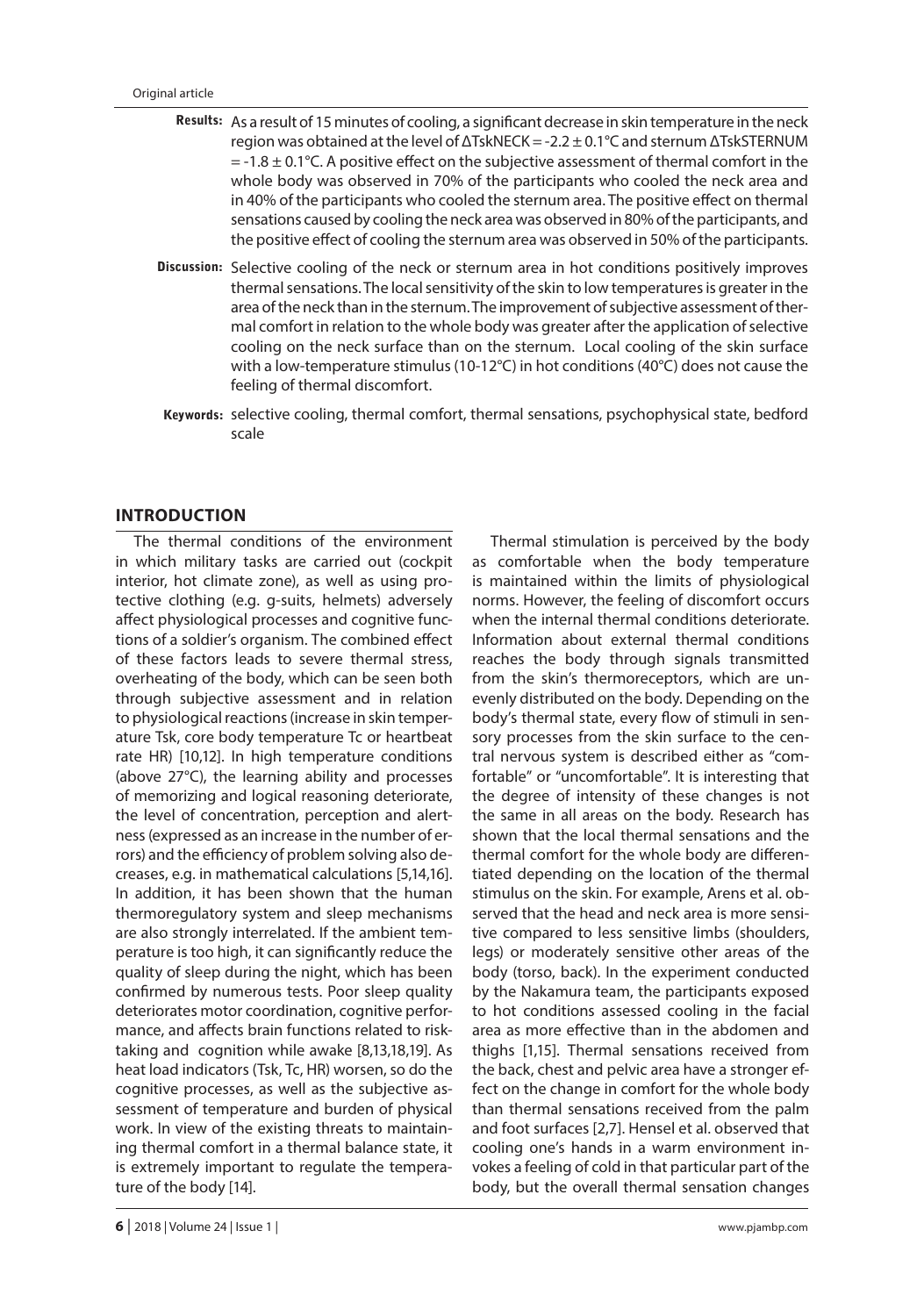- Results: As a result of 15 minutes of cooling, a significant decrease in skin temperature in the neck region was obtained at the level of ΔTskNECK = -2.2 ± 0.1°C and sternum ΔTskSTERNUM  $=$  -1.8  $\pm$  0.1 $\degree$ C. A positive effect on the subjective assessment of thermal comfort in the whole body was observed in 70% of the participants who cooled the neck area and in 40% of the participants who cooled the sternum area. The positive effect on thermal sensations caused by cooling the neck area was observed in 80% of the participants, and the positive effect of cooling the sternum area was observed in 50% of the participants.
- Discussion: Selective cooling of the neck or sternum area in hot conditions positively improves thermal sensations. The local sensitivity of the skin to low temperatures is greater in the area of the neck than in the sternum. The improvement of subjective assessment of thermal comfort in relation to the whole body was greater after the application of selective cooling on the neck surface than on the sternum. Local cooling of the skin surface with a low-temperature stimulus (10-12°C) in hot conditions (40°C) does not cause the feeling of thermal discomfort.
- Keywords: selective cooling, thermal comfort, thermal sensations, psychophysical state, bedford scale

## **INTRODUCTION**

The thermal conditions of the environment in which military tasks are carried out (cockpit interior, hot climate zone), as well as using protective clothing (e.g. g-suits, helmets) adversely affect physiological processes and cognitive functions of a soldier's organism. The combined effect of these factors leads to severe thermal stress, overheating of the body, which can be seen both through subjective assessment and in relation to physiological reactions (increase in skin temperature Tsk, core body temperature Tc or heartbeat rate HR) [10,12]. In high temperature conditions (above 27°C), the learning ability and processes of memorizing and logical reasoning deteriorate, the level of concentration, perception and alertness (expressed as an increase in the number of errors) and the efficiency of problem solving also decreases, e.g. in mathematical calculations [5,14,16]. In addition, it has been shown that the human thermoregulatory system and sleep mechanisms are also strongly interrelated. If the ambient temperature is too high, it can significantly reduce the quality of sleep during the night, which has been confirmed by numerous tests. Poor sleep quality deteriorates motor coordination, cognitive performance, and affects brain functions related to risktaking and cognition while awake [8,13,18,19]. As heat load indicators (Tsk, Tc, HR) worsen, so do the cognitive processes, as well as the subjective assessment of temperature and burden of physical work. In view of the existing threats to maintaining thermal comfort in a thermal balance state, it is extremely important to regulate the temperature of the body [14].

Thermal stimulation is perceived by the body as comfortable when the body temperature is maintained within the limits of physiological norms. However, the feeling of discomfort occurs when the internal thermal conditions deteriorate. Information about external thermal conditions reaches the body through signals transmitted from the skin's thermoreceptors, which are unevenly distributed on the body. Depending on the body's thermal state, every flow of stimuli in sensory processes from the skin surface to the central nervous system is described either as "comfortable" or "uncomfortable". It is interesting that the degree of intensity of these changes is not the same in all areas on the body. Research has shown that the local thermal sensations and the thermal comfort for the whole body are differentiated depending on the location of the thermal stimulus on the skin. For example, Arens et al. observed that the head and neck area is more sensitive compared to less sensitive limbs (shoulders, legs) or moderately sensitive other areas of the body (torso, back). In the experiment conducted by the Nakamura team, the participants exposed to hot conditions assessed cooling in the facial area as more effective than in the abdomen and thighs [1,15]. Thermal sensations received from the back, chest and pelvic area have a stronger effect on the change in comfort for the whole body than thermal sensations received from the palm and foot surfaces [2,7]. Hensel et al. observed that cooling one's hands in a warm environment invokes a feeling of cold in that particular part of the body, but the overall thermal sensation changes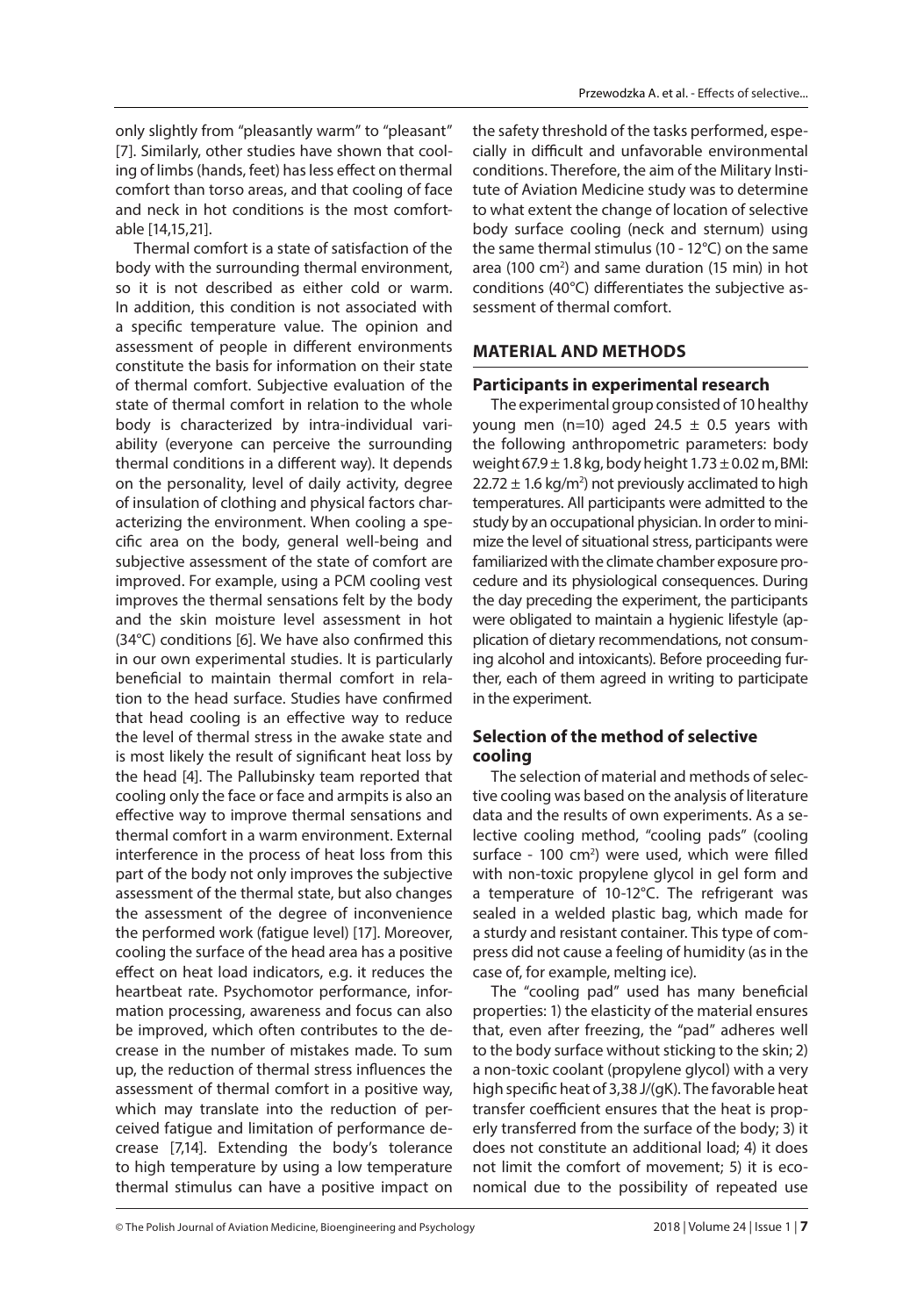only slightly from "pleasantly warm" to "pleasant" [7]. Similarly, other studies have shown that cooling of limbs (hands, feet) has less effect on thermal comfort than torso areas, and that cooling of face and neck in hot conditions is the most comfortable [14,15,21].

Thermal comfort is a state of satisfaction of the body with the surrounding thermal environment, so it is not described as either cold or warm. In addition, this condition is not associated with a specific temperature value. The opinion and assessment of people in different environments constitute the basis for information on their state of thermal comfort. Subjective evaluation of the state of thermal comfort in relation to the whole body is characterized by intra-individual variability (everyone can perceive the surrounding thermal conditions in a different way). It depends on the personality, level of daily activity, degree of insulation of clothing and physical factors characterizing the environment. When cooling a specific area on the body, general well-being and subjective assessment of the state of comfort are improved. For example, using a PCM cooling vest improves the thermal sensations felt by the body and the skin moisture level assessment in hot  $(34^{\circ}C)$  conditions [6]. We have also confirmed this in our own experimental studies. It is particularly beneficial to maintain thermal comfort in relation to the head surface. Studies have confirmed that head cooling is an effective way to reduce the level of thermal stress in the awake state and is most likely the result of significant heat loss by the head [4]. The Pallubinsky team reported that cooling only the face or face and armpits is also an effective way to improve thermal sensations and thermal comfort in a warm environment. External interference in the process of heat loss from this part of the body not only improves the subjective assessment of the thermal state, but also changes the assessment of the degree of inconvenience the performed work (fatigue level) [17]. Moreover, cooling the surface of the head area has a positive effect on heat load indicators, e.g. it reduces the heartbeat rate. Psychomotor performance, information processing, awareness and focus can also be improved, which often contributes to the decrease in the number of mistakes made. To sum up, the reduction of thermal stress influences the assessment of thermal comfort in a positive way, which may translate into the reduction of perceived fatigue and limitation of performance decrease [7,14]. Extending the body's tolerance to high temperature by using a low temperature thermal stimulus can have a positive impact on

the safety threshold of the tasks performed, especially in difficult and unfavorable environmental conditions. Therefore, the aim of the Military Institute of Aviation Medicine study was to determine to what extent the change of location of selective body surface cooling (neck and sternum) using the same thermal stimulus (10 - 12°C) on the same area (100 cm<sup>2</sup>) and same duration (15 min) in hot conditions (40°C) differentiates the subjective assessment of thermal comfort.

## **MATERIAL AND METHODS**

#### **Participants in experimental research**

The experimental group consisted of 10 healthy young men (n=10) aged 24.5  $\pm$  0.5 years with the following anthropometric parameters: body weight  $67.9 \pm 1.8$  kg, body height  $1.73 \pm 0.02$  m, BMI:  $22.72 \pm 1.6$  kg/m<sup>2</sup>) not previously acclimated to high temperatures. All participants were admitted to the study by an occupational physician. In order to minimize the level of situational stress, participants were familiarized with the climate chamber exposure procedure and its physiological consequences. During the day preceding the experiment, the participants were obligated to maintain a hygienic lifestyle (application of dietary recommendations, not consuming alcohol and intoxicants). Before proceeding further, each of them agreed in writing to participate in the experiment.

# **Selection of the method of selective cooling**

The selection of material and methods of selective cooling was based on the analysis of literature data and the results of own experiments. As a selective cooling method, "cooling pads" (cooling surface - 100 cm<sup>2</sup>) were used, which were filled with non-toxic propylene glycol in gel form and a temperature of 10-12°C. The refrigerant was sealed in a welded plastic bag, which made for a sturdy and resistant container. This type of compress did not cause a feeling of humidity (as in the case of, for example, melting ice).

The "cooling pad" used has many beneficial properties: 1) the elasticity of the material ensures that, even after freezing, the "pad" adheres well to the body surface without sticking to the skin; 2) a non-toxic coolant (propylene glycol) with a very high specific heat of 3,38 J/(gK). The favorable heat transfer coefficient ensures that the heat is properly transferred from the surface of the body; 3) it does not constitute an additional load; 4) it does not limit the comfort of movement; 5) it is economical due to the possibility of repeated use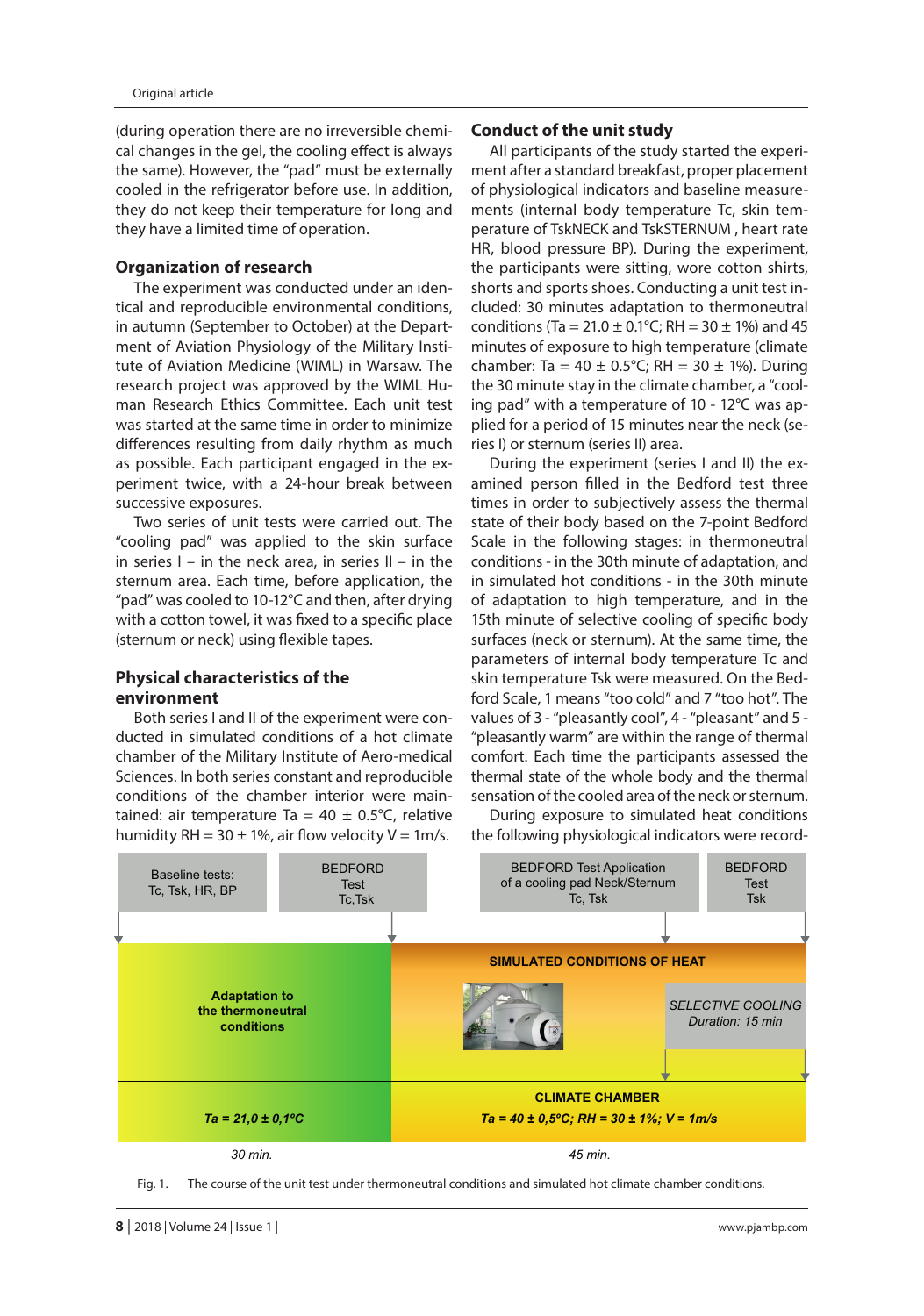(during operation there are no irreversible chemical changes in the gel, the cooling effect is always the same). However, the "pad" must be externally cooled in the refrigerator before use. In addition, they do not keep their temperature for long and they have a limited time of operation.

## **Organization of research**

The experiment was conducted under an identical and reproducible environmental conditions, in autumn (September to October) at the Department of Aviation Physiology of the Military Institute of Aviation Medicine (WIML) in Warsaw. The research project was approved by the WIML Human Research Ethics Committee. Each unit test was started at the same time in order to minimize differences resulting from daily rhythm as much as possible. Each participant engaged in the experiment twice, with a 24-hour break between successive exposures.

Two series of unit tests were carried out. The "cooling pad" was applied to the skin surface in series  $I - in$  the neck area, in series  $II - in$  the sternum area. Each time, before application, the "pad" was cooled to 10-12°C and then, after drying with a cotton towel, it was fixed to a specific place (sternum or neck) using flexible tapes.

## **Physical characteristics of the environment**

Both series I and II of the experiment were conducted in simulated conditions of a hot climate chamber of the Military Institute of Aero-medical Sciences. In both series constant and reproducible conditions of the chamber interior were maintained: air temperature Ta =  $40 \pm 0.5^{\circ}$ C, relative humidity RH =  $30 \pm 1\%$ , air flow velocity V = 1m/s.

#### **Conduct of the unit study**

All participants of the study started the experiment after a standard breakfast, proper placement of physiological indicators and baseline measurements (internal body temperature Tc, skin temperature of TskNECK and TskSTERNUM , heart rate HR, blood pressure BP). During the experiment, the participants were sitting, wore cotton shirts, shorts and sports shoes. Conducting a unit test included: 30 minutes adaptation to thermoneutral conditions (Ta = 21.0  $\pm$  0.1°C; RH = 30  $\pm$  1%) and 45 minutes of exposure to high temperature (climate chamber: Ta =  $40 \pm 0.5^{\circ}$ C; RH =  $30 \pm 1\%$ ). During the 30 minute stay in the climate chamber, a "cooling pad" with a temperature of 10 - 12°C was applied for a period of 15 minutes near the neck (series I) or sternum (series II) area.

During the experiment (series I and II) the examined person filled in the Bedford test three times in order to subjectively assess the thermal state of their body based on the 7-point Bedford Scale in the following stages: in thermoneutral conditions - in the 30th minute of adaptation, and in simulated hot conditions - in the 30th minute of adaptation to high temperature, and in the 15th minute of selective cooling of specific body surfaces (neck or sternum). At the same time, the parameters of internal body temperature Tc and skin temperature Tsk were measured. On the Bedford Scale, 1 means "too cold" and 7 "too hot". The values of 3 - "pleasantly cool", 4 - "pleasant" and 5 - "pleasantly warm" are within the range of thermal comfort. Each time the participants assessed the thermal state of the whole body and the thermal sensation of the cooled area of the neck or sternum.

During exposure to simulated heat conditions the following physiological indicators were record-



Fig. 1. The course of the unit test under thermoneutral conditions and simulated hot climate chamber conditions.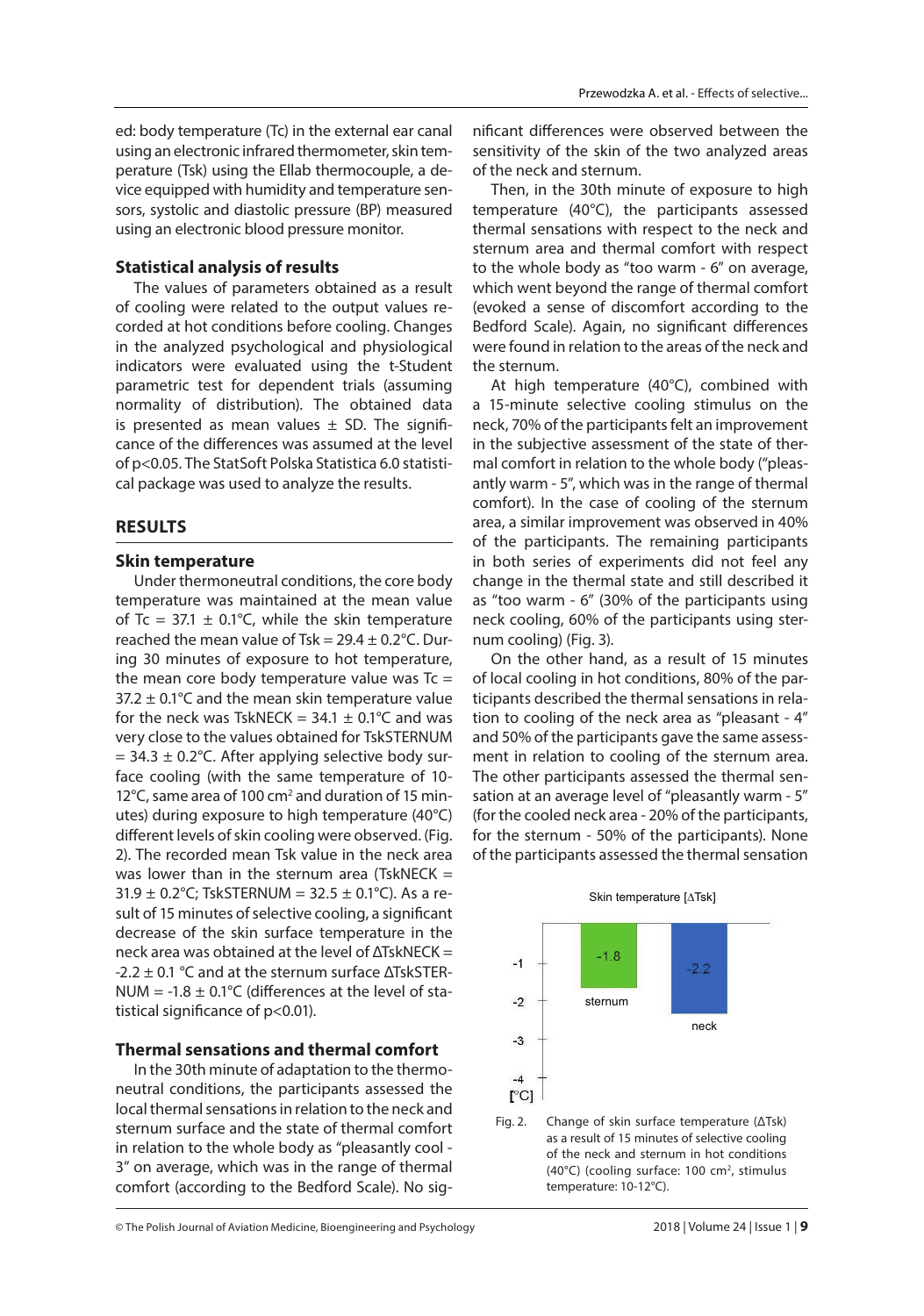ed: body temperature (Tc) in the external ear canal using an electronic infrared thermometer, skin temperature (Tsk) using the Ellab thermocouple, a device equipped with humidity and temperature sensors, systolic and diastolic pressure (BP) measured using an electronic blood pressure monitor.

## **Statistical analysis of results**

The values of parameters obtained as a result of cooling were related to the output values recorded at hot conditions before cooling. Changes in the analyzed psychological and physiological indicators were evaluated using the t-Student parametric test for dependent trials (assuming normality of distribution). The obtained data is presented as mean values  $\pm$  SD. The significance of the differences was assumed at the level of p<0.05. The StatSoft Polska Statistica 6.0 statistical package was used to analyze the results.

## **RESULTS**

#### **Skin temperature**

Under thermoneutral conditions, the core body temperature was maintained at the mean value of Tc = 37.1  $\pm$  0.1°C, while the skin temperature reached the mean value of Tsk =  $29.4 \pm 0.2$ °C. During 30 minutes of exposure to hot temperature, the mean core body temperature value was  $Tc =$  $37.2 \pm 0.1^{\circ}$ C and the mean skin temperature value for the neck was TskNECK =  $34.1 \pm 0.1^{\circ}$ C and was very close to the values obtained for TskSTERNUM  $= 34.3 \pm 0.2$ °C. After applying selective body surface cooling (with the same temperature of 10- 12°C, same area of 100 cm<sup>2</sup> and duration of 15 minutes) during exposure to high temperature (40°C) different levels of skin cooling were observed. (Fig. 2). The recorded mean Tsk value in the neck area was lower than in the sternum area (TskNECK  $=$ 31.9  $\pm$  0.2°C; TskSTERNUM = 32.5  $\pm$  0.1°C). As a result of 15 minutes of selective cooling, a significant decrease of the skin surface temperature in the neck area was obtained at the level of ΔTskNECK = -2.2  $\pm$  0.1 °C and at the sternum surface  $\Delta$ TskSTER-NUM = -1.8  $\pm$  0.1°C (differences at the level of statistical significance of  $p<0.01$ ).

#### **Thermal sensations and thermal comfort**

In the 30th minute of adaptation to the thermoneutral conditions, the participants assessed the local thermal sensations in relation to the neck and sternum surface and the state of thermal comfort in relation to the whole body as "pleasantly cool - 3" on average, which was in the range of thermal comfort (according to the Bedford Scale). No sig-

nificant differences were observed between the sensitivity of the skin of the two analyzed areas of the neck and sternum.

Then, in the 30th minute of exposure to high temperature (40°C), the participants assessed thermal sensations with respect to the neck and sternum area and thermal comfort with respect to the whole body as "too warm - 6" on average, which went beyond the range of thermal comfort (evoked a sense of discomfort according to the Bedford Scale). Again, no significant differences were found in relation to the areas of the neck and the sternum.

At high temperature (40°C), combined with a 15-minute selective cooling stimulus on the neck, 70% of the participants felt an improvement in the subjective assessment of the state of thermal comfort in relation to the whole body ("pleasantly warm - 5", which was in the range of thermal comfort). In the case of cooling of the sternum area, a similar improvement was observed in 40% of the participants. The remaining participants in both series of experiments did not feel any change in the thermal state and still described it as "too warm - 6" (30% of the participants using neck cooling, 60% of the participants using sternum cooling) (Fig. 3).

On the other hand, as a result of 15 minutes of local cooling in hot conditions, 80% of the participants described the thermal sensations in relation to cooling of the neck area as "pleasant - 4" and 50% of the participants gave the same assessment in relation to cooling of the sternum area. The other participants assessed the thermal sensation at an average level of "pleasantly warm - 5" (for the cooled neck area - 20% of the participants, for the sternum - 50% of the participants). None of the participants assessed the thermal sensation



Fig. 2. Change of skin surface temperature (ΔTsk) as a result of 15 minutes of selective cooling of the neck and sternum in hot conditions (40°C) (cooling surface: 100 cm<sup>2</sup>, stimulus temperature: 10-12°C).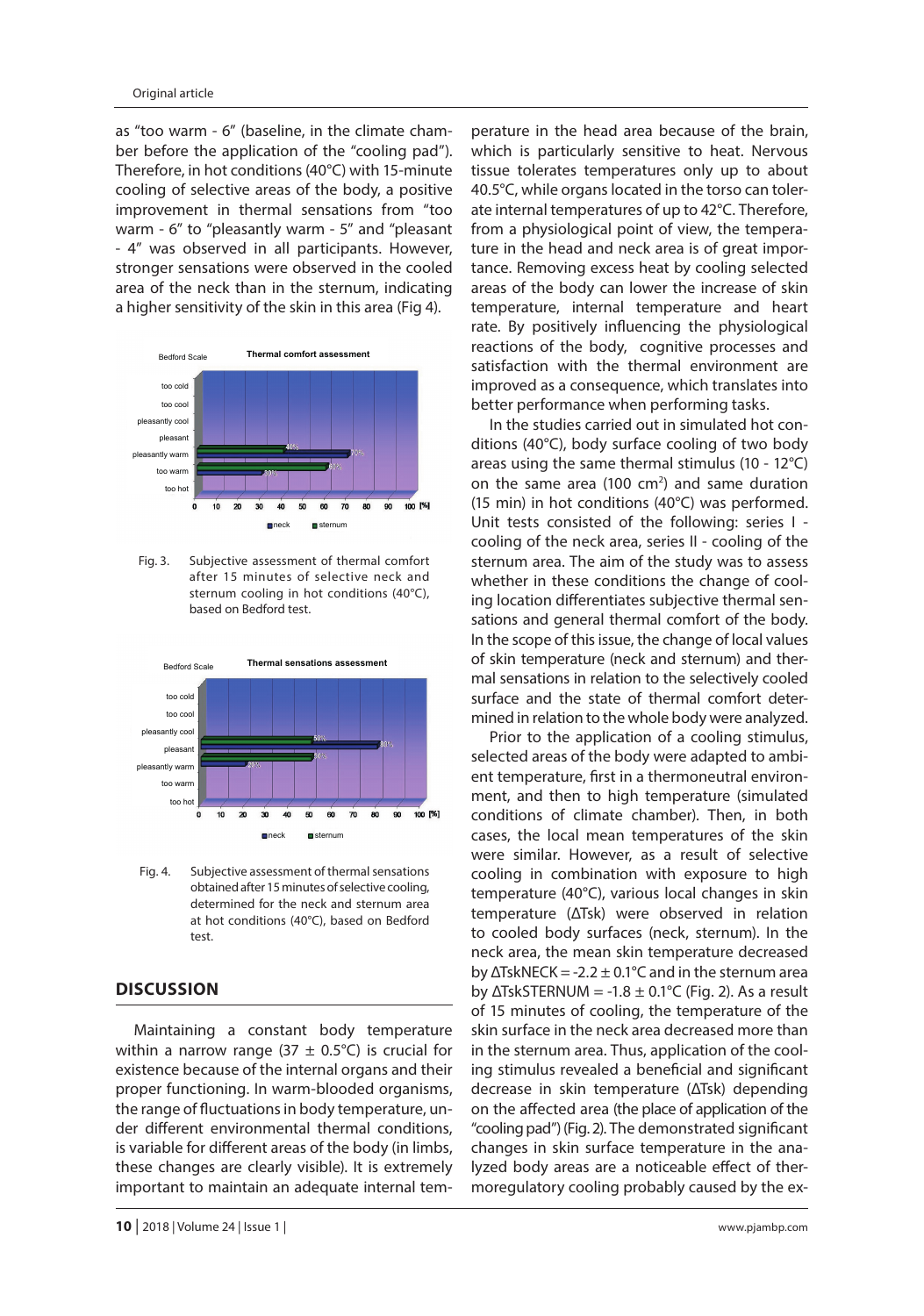as "too warm - 6" (baseline, in the climate chamber before the application of the "cooling pad"). Therefore, in hot conditions (40°C) with 15-minute cooling of selective areas of the body, a positive improvement in thermal sensations from "too warm - 6" to "pleasantly warm - 5" and "pleasant - 4" was observed in all participants. However, stronger sensations were observed in the cooled area of the neck than in the sternum, indicating a higher sensitivity of the skin in this area (Fig 4).



Fig. 3. Subjective assessment of thermal comfort after 15 minutes of selective neck and sternum cooling in hot conditions (40°C), based on Bedford test.



Fig. 4. Subjective assessment of thermal sensations obtained after 15 minutes of selective cooling, determined for the neck and sternum area at hot conditions (40°C), based on Bedford test.

# **DISCUSSION**

Maintaining a constant body temperature within a narrow range (37  $\pm$  0.5°C) is crucial for existence because of the internal organs and their proper functioning. In warm-blooded organisms, the range of fluctuations in body temperature, under different environmental thermal conditions, is variable for different areas of the body (in limbs, these changes are clearly visible). It is extremely important to maintain an adequate internal tem-

**10** | 2018 | Volume 24 | Issue 1 | www.pjambp.com

perature in the head area because of the brain, which is particularly sensitive to heat. Nervous tissue tolerates temperatures only up to about 40.5°C, while organs located in the torso can tolerate internal temperatures of up to 42°C. Therefore, from a physiological point of view, the temperature in the head and neck area is of great importance. Removing excess heat by cooling selected areas of the body can lower the increase of skin temperature, internal temperature and heart rate. By positively influencing the physiological reactions of the body, cognitive processes and satisfaction with the thermal environment are improved as a consequence, which translates into better performance when performing tasks.

In the studies carried out in simulated hot conditions (40°C), body surface cooling of two body areas using the same thermal stimulus (10 - 12°C) on the same area (100  $cm<sup>2</sup>$ ) and same duration (15 min) in hot conditions (40°C) was performed. Unit tests consisted of the following: series I cooling of the neck area, series II - cooling of the sternum area. The aim of the study was to assess whether in these conditions the change of cooling location differentiates subjective thermal sensations and general thermal comfort of the body. In the scope of this issue, the change of local values of skin temperature (neck and sternum) and thermal sensations in relation to the selectively cooled surface and the state of thermal comfort determined in relation to the whole body were analyzed.

Prior to the application of a cooling stimulus, selected areas of the body were adapted to ambient temperature, first in a thermoneutral environment, and then to high temperature (simulated conditions of climate chamber). Then, in both cases, the local mean temperatures of the skin were similar. However, as a result of selective cooling in combination with exposure to high temperature (40°C), various local changes in skin temperature (ΔTsk) were observed in relation to cooled body surfaces (neck, sternum). In the neck area, the mean skin temperature decreased by  $\Delta$ TskNECK = -2.2  $\pm$  0.1°C and in the sternum area by  $\triangle$ TskSTERNUM = -1.8  $\pm$  0.1°C (Fig. 2). As a result of 15 minutes of cooling, the temperature of the skin surface in the neck area decreased more than in the sternum area. Thus, application of the cooling stimulus revealed a beneficial and significant decrease in skin temperature (ΔTsk) depending on the affected area (the place of application of the "cooling pad") (Fig. 2). The demonstrated significant changes in skin surface temperature in the analyzed body areas are a noticeable effect of thermoregulatory cooling probably caused by the ex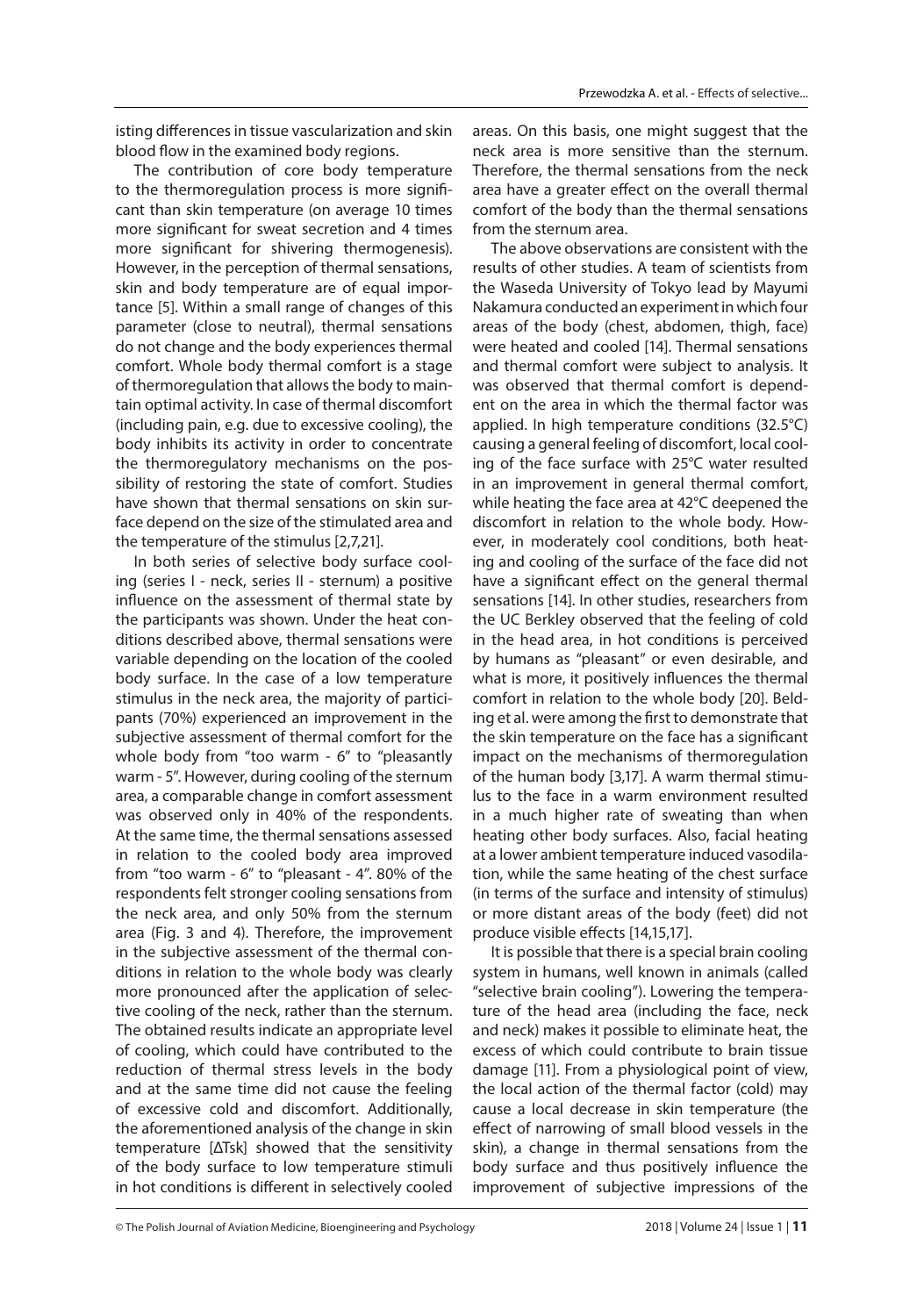isting differences in tissue vascularization and skin blood flow in the examined body regions.

The contribution of core body temperature to the thermoregulation process is more significant than skin temperature (on average 10 times more significant for sweat secretion and 4 times more significant for shivering thermogenesis). However, in the perception of thermal sensations, skin and body temperature are of equal importance [5]. Within a small range of changes of this parameter (close to neutral), thermal sensations do not change and the body experiences thermal comfort. Whole body thermal comfort is a stage of thermoregulation that allows the body to maintain optimal activity. In case of thermal discomfort (including pain, e.g. due to excessive cooling), the body inhibits its activity in order to concentrate the thermoregulatory mechanisms on the possibility of restoring the state of comfort. Studies have shown that thermal sensations on skin surface depend on the size of the stimulated area and the temperature of the stimulus [2,7,21].

In both series of selective body surface cooling (series I - neck, series II - sternum) a positive influence on the assessment of thermal state by the participants was shown. Under the heat conditions described above, thermal sensations were variable depending on the location of the cooled body surface. In the case of a low temperature stimulus in the neck area, the majority of participants (70%) experienced an improvement in the subjective assessment of thermal comfort for the whole body from "too warm - 6" to "pleasantly warm - 5". However, during cooling of the sternum area, a comparable change in comfort assessment was observed only in 40% of the respondents. At the same time, the thermal sensations assessed in relation to the cooled body area improved from "too warm - 6" to "pleasant - 4". 80% of the respondents felt stronger cooling sensations from the neck area, and only 50% from the sternum area (Fig. 3 and 4). Therefore, the improvement in the subjective assessment of the thermal conditions in relation to the whole body was clearly more pronounced after the application of selective cooling of the neck, rather than the sternum. The obtained results indicate an appropriate level of cooling, which could have contributed to the reduction of thermal stress levels in the body and at the same time did not cause the feeling of excessive cold and discomfort. Additionally, the aforementioned analysis of the change in skin temperature [ΔTsk] showed that the sensitivity of the body surface to low temperature stimuli in hot conditions is different in selectively cooled

areas. On this basis, one might suggest that the neck area is more sensitive than the sternum. Therefore, the thermal sensations from the neck area have a greater effect on the overall thermal comfort of the body than the thermal sensations from the sternum area.

The above observations are consistent with the results of other studies. A team of scientists from the Waseda University of Tokyo lead by Mayumi Nakamura conducted an experiment in which four areas of the body (chest, abdomen, thigh, face) were heated and cooled [14]. Thermal sensations and thermal comfort were subject to analysis. It was observed that thermal comfort is dependent on the area in which the thermal factor was applied. In high temperature conditions (32.5°C) causing a general feeling of discomfort, local cooling of the face surface with 25°C water resulted in an improvement in general thermal comfort, while heating the face area at 42°C deepened the discomfort in relation to the whole body. However, in moderately cool conditions, both heating and cooling of the surface of the face did not have a significant effect on the general thermal sensations [14]. In other studies, researchers from the UC Berkley observed that the feeling of cold in the head area, in hot conditions is perceived by humans as "pleasant" or even desirable, and what is more, it positively influences the thermal comfort in relation to the whole body [20]. Belding et al. were among the first to demonstrate that the skin temperature on the face has a significant impact on the mechanisms of thermoregulation of the human body [3,17]. A warm thermal stimulus to the face in a warm environment resulted in a much higher rate of sweating than when heating other body surfaces. Also, facial heating at a lower ambient temperature induced vasodilation, while the same heating of the chest surface (in terms of the surface and intensity of stimulus) or more distant areas of the body (feet) did not produce visible effects [14,15,17].

It is possible that there is a special brain cooling system in humans, well known in animals (called "selective brain cooling"). Lowering the temperature of the head area (including the face, neck and neck) makes it possible to eliminate heat, the excess of which could contribute to brain tissue damage [11]. From a physiological point of view, the local action of the thermal factor (cold) may cause a local decrease in skin temperature (the effect of narrowing of small blood vessels in the skin), a change in thermal sensations from the body surface and thus positively influence the improvement of subjective impressions of the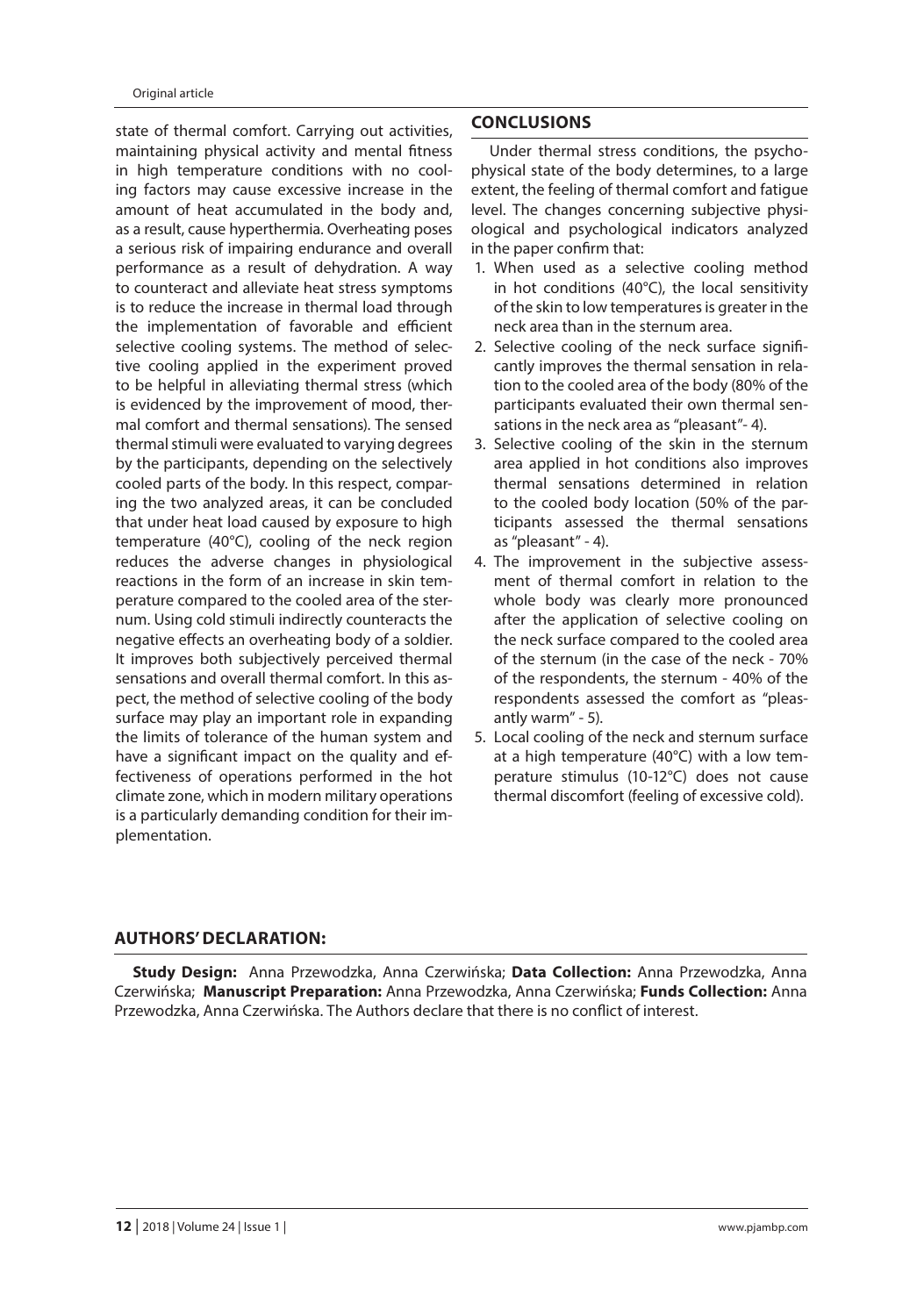state of thermal comfort. Carrying out activities, maintaining physical activity and mental fitness in high temperature conditions with no cooling factors may cause excessive increase in the amount of heat accumulated in the body and, as a result, cause hyperthermia. Overheating poses a serious risk of impairing endurance and overall performance as a result of dehydration. A way to counteract and alleviate heat stress symptoms is to reduce the increase in thermal load through the implementation of favorable and efficient selective cooling systems. The method of selective cooling applied in the experiment proved to be helpful in alleviating thermal stress (which is evidenced by the improvement of mood, thermal comfort and thermal sensations). The sensed thermal stimuli were evaluated to varying degrees by the participants, depending on the selectively cooled parts of the body. In this respect, comparing the two analyzed areas, it can be concluded that under heat load caused by exposure to high temperature (40°C), cooling of the neck region reduces the adverse changes in physiological reactions in the form of an increase in skin temperature compared to the cooled area of the sternum. Using cold stimuli indirectly counteracts the negative effects an overheating body of a soldier. It improves both subjectively perceived thermal sensations and overall thermal comfort. In this aspect, the method of selective cooling of the body surface may play an important role in expanding the limits of tolerance of the human system and have a significant impact on the quality and effectiveness of operations performed in the hot climate zone, which in modern military operations is a particularly demanding condition for their implementation.

# **CONCLUSIONS**

Under thermal stress conditions, the psychophysical state of the body determines, to a large extent, the feeling of thermal comfort and fatigue level. The changes concerning subjective physiological and psychological indicators analyzed in the paper confirm that:

- 1. When used as a selective cooling method in hot conditions (40°C), the local sensitivity of the skin to low temperatures is greater in the neck area than in the sternum area.
- 2. Selective cooling of the neck surface significantly improves the thermal sensation in relation to the cooled area of the body (80% of the participants evaluated their own thermal sensations in the neck area as "pleasant"- 4).
- 3. Selective cooling of the skin in the sternum area applied in hot conditions also improves thermal sensations determined in relation to the cooled body location (50% of the participants assessed the thermal sensations as "pleasant" - 4).
- 4. The improvement in the subjective assessment of thermal comfort in relation to the whole body was clearly more pronounced after the application of selective cooling on the neck surface compared to the cooled area of the sternum (in the case of the neck - 70% of the respondents, the sternum - 40% of the respondents assessed the comfort as "pleasantly warm" - 5).
- 5. Local cooling of the neck and sternum surface at a high temperature (40°C) with a low temperature stimulus (10-12°C) does not cause thermal discomfort (feeling of excessive cold).

# **AUTHORS' DECLARATION:**

**Study Design:** Anna Przewodzka, Anna Czerwińska; **Data Collection:** Anna Przewodzka, Anna Czerwińska; **Manuscript Preparation:** Anna Przewodzka, Anna Czerwińska; **Funds Collection:** Anna Przewodzka, Anna Czerwińska. The Authors declare that there is no conflict of interest.